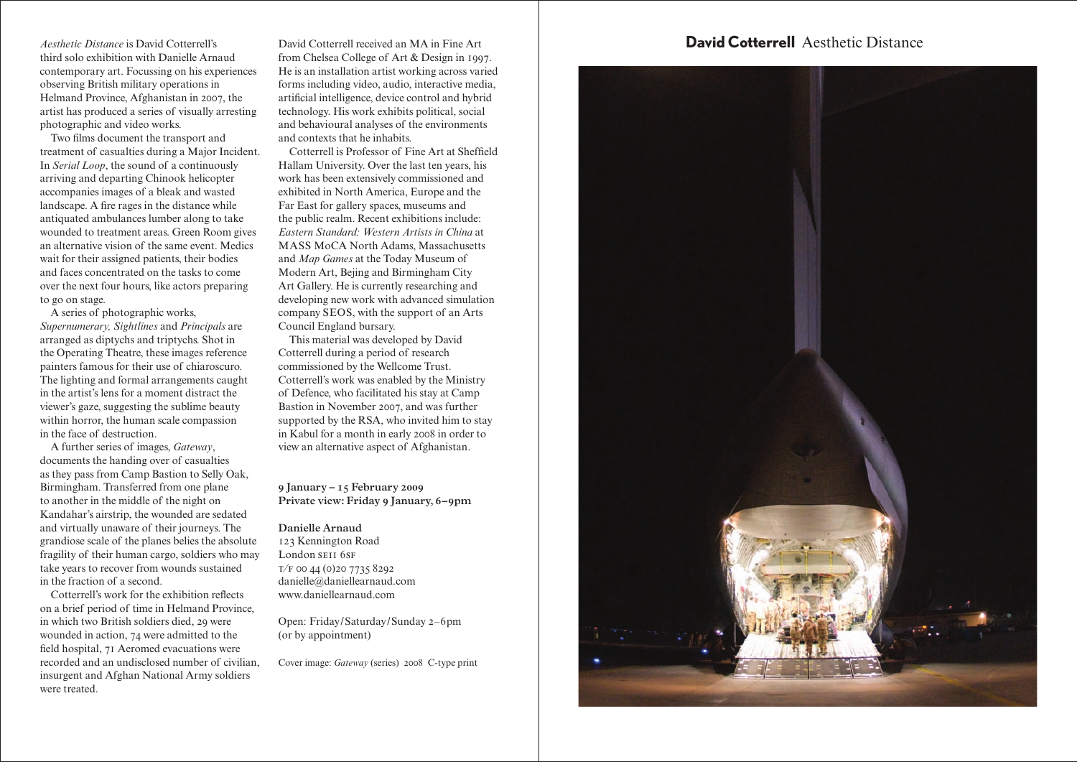third solo exhibition with Danielle Arnaud contemporary art. Focussing on his experiences observing British military operations in Helmand Province, Afghanistan in 2007, the artist has produced a series of visually arresting photographic and video works.

Two films document the transport and treatment of casualties during a Major Incident. In *Serial Loop*, the sound of a continuously arriving and departing Chinook helicopter accompanies images of a bleak and wasted landscape. A fire rages in the distance while antiquated ambulances lumber along to take wounded to treatment areas. Green Room gives an alternative vision of the same event. Medics wait for their assigned patients, their bodies and faces concentrated on the tasks to come over the next four hours, like actors preparing to go on stage.

A series of photographic works, *Supernumerary, Sightlines* and *Principals* are arranged as diptychs and triptychs. Shot in the Operating Theatre, these images reference painters famous for their use of chiaroscuro. The lighting and formal arrangements caught in the artist's lens for a moment distract the viewer's gaze, suggesting the sublime beauty within horror, the human scale compassion in the face of destruction.

A further series of images, *Gateway*, documents the handing over of casualties as they pass from Camp Bastion to Selly Oak, Birmingham. Transferred from one plane to another in the middle of the night on Kandahar's airstrip, the wounded are sedated and virtually unaware of their journeys. The grandiose scale of the planes belies the absolute fragility of their human cargo, soldiers who may take years to recover from wounds sustained in the fraction of a second.

Cotterrell's work for the exhibition reflects on a brief period of time in Helmand Province, in which two British soldiers died, 29 were wounded in action, 74 were admitted to the field hospital, 71 Aeromed evacuations were recorded and an undisclosed number of civilian, insurgent and Afghan National Army soldiers were treated.

David Cotterrell received an MA in Fine Art from Chelsea College of Art & Design in 1997. He is an installation artist working across varied forms including video, audio, interactive media, artificial intelligence, device control and hybrid technology. His work exhibits political, social and behavioural analyses of the environments and contexts that he inhabits.

Cotterrell is Professor of Fine Art at Sheffield Hallam University. Over the last ten years, his work has been extensively commissioned and exhibited in North America, Europe and the Far East for gallery spaces, museums and the public realm. Recent exhibitions include: *Eastern Standard: Western Artists in China* at MASS MoCA North Adams, Massachusetts and *Map Games* at the Today Museum of Modern Art, Bejing and Birmingham City Art Gallery. He is currently researching and developing new work with advanced simulation company SEOS, with the support of an Arts Council England bursary.

This material was developed by David Cotterrell during a period of research commissioned by the Wellcome Trust. Cotterrell's work was enabled by the Ministry of Defence, who facilitated his stay at Camp Bastion in November 2007, and was further supported by the RSA, who invited him to stay in Kabul for a month in early 2008 in order to view an alternative aspect of Afghanistan.

## **January – February** Private view: Friday 9 January, 6-9pm

**Danielle Arnaud**

123 Kennington Road London SEII 6SF  $T/F$  00 44 (0) 20 7735 8292 danielle@daniellearnaud.com www.daniellearnaud.com

Open: Friday/Saturday/Sunday 2-6pm (or by appointment)

Cover image: *Gateway* (series) 2008 C-type print

## *Aesthetic Distance* is David Cotterrell's David Cotterrell received an MA in Fine Art **David Cotterrell** Aesthetic Distance

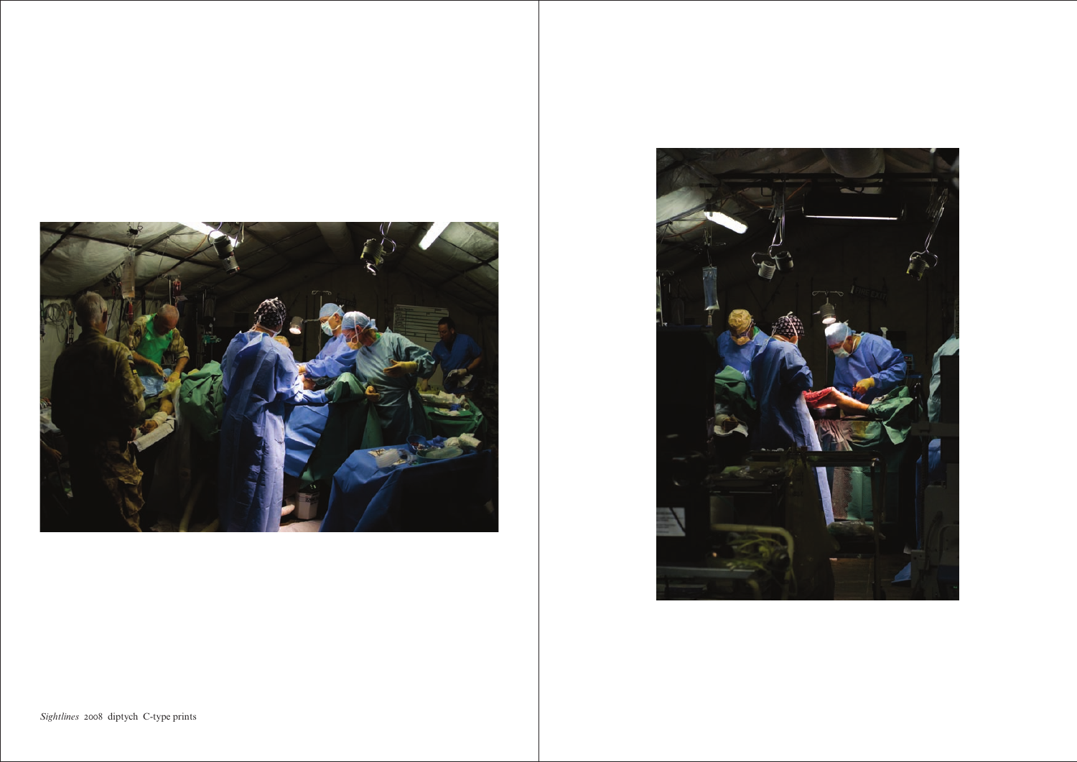



Sightlines 2008 diptych C-type prints